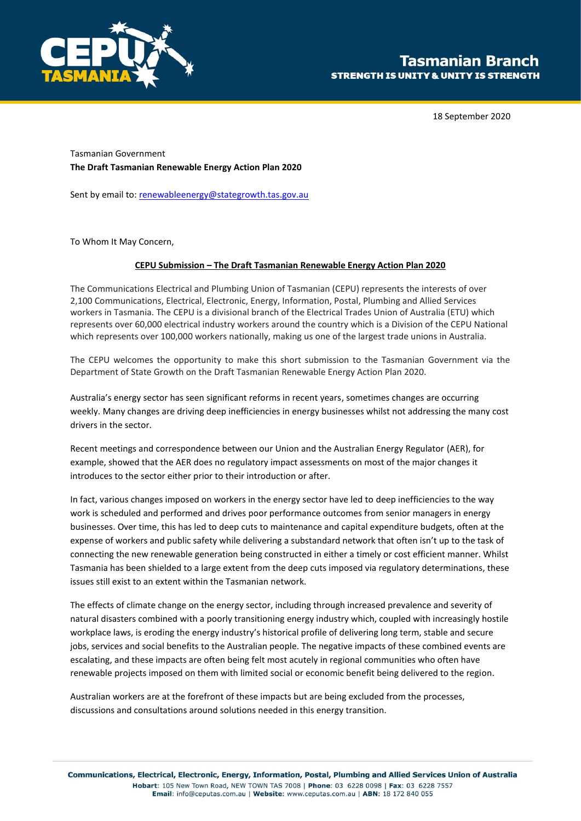

18 September 2020

Tasmanian Government **The Draft Tasmanian Renewable Energy Action Plan 2020**

Sent by email to[: renewableenergy@stategrowth.tas.gov.au](mailto:renewableenergy@stategrowth.tas.gov.au)

To Whom It May Concern,

### **CEPU Submission – The Draft Tasmanian Renewable Energy Action Plan 2020**

The Communications Electrical and Plumbing Union of Tasmanian (CEPU) represents the interests of over 2,100 Communications, Electrical, Electronic, Energy, Information, Postal, Plumbing and Allied Services workers in Tasmania. The CEPU is a divisional branch of the Electrical Trades Union of Australia (ETU) which represents over 60,000 electrical industry workers around the country which is a Division of the CEPU National which represents over 100,000 workers nationally, making us one of the largest trade unions in Australia.

The CEPU welcomes the opportunity to make this short submission to the Tasmanian Government via the Department of State Growth on the Draft Tasmanian Renewable Energy Action Plan 2020.

Australia's energy sector has seen significant reforms in recent years, sometimes changes are occurring weekly. Many changes are driving deep inefficiencies in energy businesses whilst not addressing the many cost drivers in the sector.

Recent meetings and correspondence between our Union and the Australian Energy Regulator (AER), for example, showed that the AER does no regulatory impact assessments on most of the major changes it introduces to the sector either prior to their introduction or after.

In fact, various changes imposed on workers in the energy sector have led to deep inefficiencies to the way work is scheduled and performed and drives poor performance outcomes from senior managers in energy businesses. Over time, this has led to deep cuts to maintenance and capital expenditure budgets, often at the expense of workers and public safety while delivering a substandard network that often isn't up to the task of connecting the new renewable generation being constructed in either a timely or cost efficient manner. Whilst Tasmania has been shielded to a large extent from the deep cuts imposed via regulatory determinations, these issues still exist to an extent within the Tasmanian network.

The effects of climate change on the energy sector, including through increased prevalence and severity of natural disasters combined with a poorly transitioning energy industry which, coupled with increasingly hostile workplace laws, is eroding the energy industry's historical profile of delivering long term, stable and secure jobs, services and social benefits to the Australian people. The negative impacts of these combined events are escalating, and these impacts are often being felt most acutely in regional communities who often have renewable projects imposed on them with limited social or economic benefit being delivered to the region.

Australian workers are at the forefront of these impacts but are being excluded from the processes, discussions and consultations around solutions needed in this energy transition.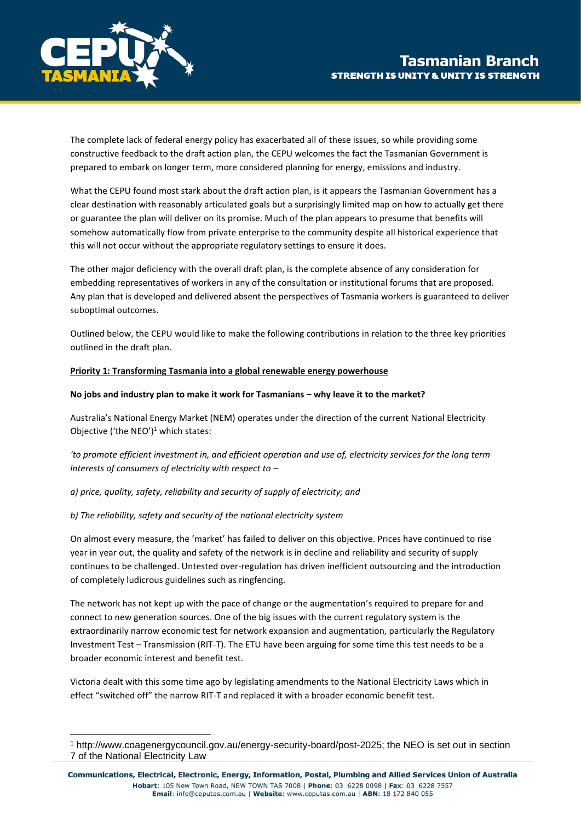

The complete lack of federal energy policy has exacerbated all of these issues, so while providing some constructive feedback to the draft action plan, the CEPU welcomes the fact the Tasmanian Government is prepared to embark on longer term, more considered planning for energy, emissions and industry.

What the CEPU found most stark about the draft action plan, is it appears the Tasmanian Government has a clear destination with reasonably articulated goals but a surprisingly limited map on how to actually get there or guarantee the plan will deliver on its promise. Much of the plan appears to presume that benefits will somehow automatically flow from private enterprise to the community despite all historical experience that this will not occur without the appropriate regulatory settings to ensure it does.

The other major deficiency with the overall draft plan, is the complete absence of any consideration for embedding representatives of workers in any of the consultation or institutional forums that are proposed. Any plan that is developed and delivered absent the perspectives of Tasmania workers is guaranteed to deliver suboptimal outcomes.

Outlined below, the CEPU would like to make the following contributions in relation to the three key priorities outlined in the draft plan.

### **Priority 1: Transforming Tasmania into a global renewable energy powerhouse**

### **No jobs and industry plan to make it work for Tasmanians – why leave it to the market?**

Australia's National Energy Market (NEM) operates under the direction of the current National Electricity Objective ('the NEO')<sup>1</sup> which states:

*'to promote efficient investment in, and efficient operation and use of, electricity services for the long term interests of consumers of electricity with respect to –*

*a) price, quality, safety, reliability and security of supply of electricity; and* 

## *b) The reliability, safety and security of the national electricity system*

On almost every measure, the 'market' has failed to deliver on this objective. Prices have continued to rise year in year out, the quality and safety of the network is in decline and reliability and security of supply continues to be challenged. Untested over-regulation has driven inefficient outsourcing and the introduction of completely ludicrous guidelines such as ringfencing.

The network has not kept up with the pace of change or the augmentation's required to prepare for and connect to new generation sources. One of the big issues with the current regulatory system is the extraordinarily narrow economic test for network expansion and augmentation, particularly the Regulatory Investment Test – Transmission (RIT-T). The ETU have been arguing for some time this test needs to be a broader economic interest and benefit test.

Victoria dealt with this some time ago by legislating amendments to the National Electricity Laws which in effect "switched off" the narrow RIT-T and replaced it with a broader economic benefit test.

<sup>1</sup> http://www.coagenergycouncil.gov.au/energy-security-board/post-2025; the NEO is set out in section 7 of the National Electricity Law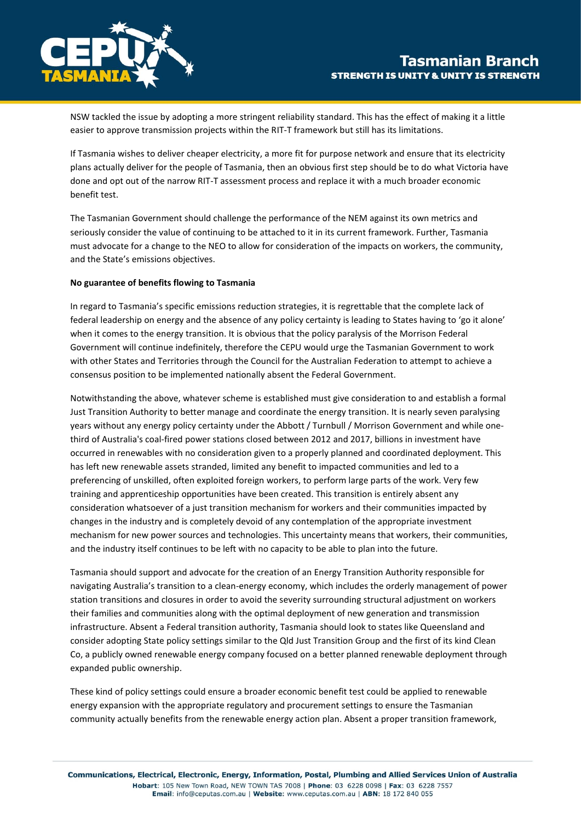

NSW tackled the issue by adopting a more stringent reliability standard. This has the effect of making it a little easier to approve transmission projects within the RIT-T framework but still has its limitations.

If Tasmania wishes to deliver cheaper electricity, a more fit for purpose network and ensure that its electricity plans actually deliver for the people of Tasmania, then an obvious first step should be to do what Victoria have done and opt out of the narrow RIT-T assessment process and replace it with a much broader economic benefit test.

The Tasmanian Government should challenge the performance of the NEM against its own metrics and seriously consider the value of continuing to be attached to it in its current framework. Further, Tasmania must advocate for a change to the NEO to allow for consideration of the impacts on workers, the community, and the State's emissions objectives.

### **No guarantee of benefits flowing to Tasmania**

In regard to Tasmania's specific emissions reduction strategies, it is regrettable that the complete lack of federal leadership on energy and the absence of any policy certainty is leading to States having to 'go it alone' when it comes to the energy transition. It is obvious that the policy paralysis of the Morrison Federal Government will continue indefinitely, therefore the CEPU would urge the Tasmanian Government to work with other States and Territories through the Council for the Australian Federation to attempt to achieve a consensus position to be implemented nationally absent the Federal Government.

Notwithstanding the above, whatever scheme is established must give consideration to and establish a formal Just Transition Authority to better manage and coordinate the energy transition. It is nearly seven paralysing years without any energy policy certainty under the Abbott / Turnbull / Morrison Government and while one‐ third of Australia's coal‐fired power stations closed between 2012 and 2017, billions in investment have occurred in renewables with no consideration given to a properly planned and coordinated deployment. This has left new renewable assets stranded, limited any benefit to impacted communities and led to a preferencing of unskilled, often exploited foreign workers, to perform large parts of the work. Very few training and apprenticeship opportunities have been created. This transition is entirely absent any consideration whatsoever of a just transition mechanism for workers and their communities impacted by changes in the industry and is completely devoid of any contemplation of the appropriate investment mechanism for new power sources and technologies. This uncertainty means that workers, their communities, and the industry itself continues to be left with no capacity to be able to plan into the future.

Tasmania should support and advocate for the creation of an Energy Transition Authority responsible for navigating Australia's transition to a clean-energy economy, which includes the orderly management of power station transitions and closures in order to avoid the severity surrounding structural adjustment on workers their families and communities along with the optimal deployment of new generation and transmission infrastructure. Absent a Federal transition authority, Tasmania should look to states like Queensland and consider adopting State policy settings similar to the Qld Just Transition Group and the first of its kind Clean Co, a publicly owned renewable energy company focused on a better planned renewable deployment through expanded public ownership.

These kind of policy settings could ensure a broader economic benefit test could be applied to renewable energy expansion with the appropriate regulatory and procurement settings to ensure the Tasmanian community actually benefits from the renewable energy action plan. Absent a proper transition framework,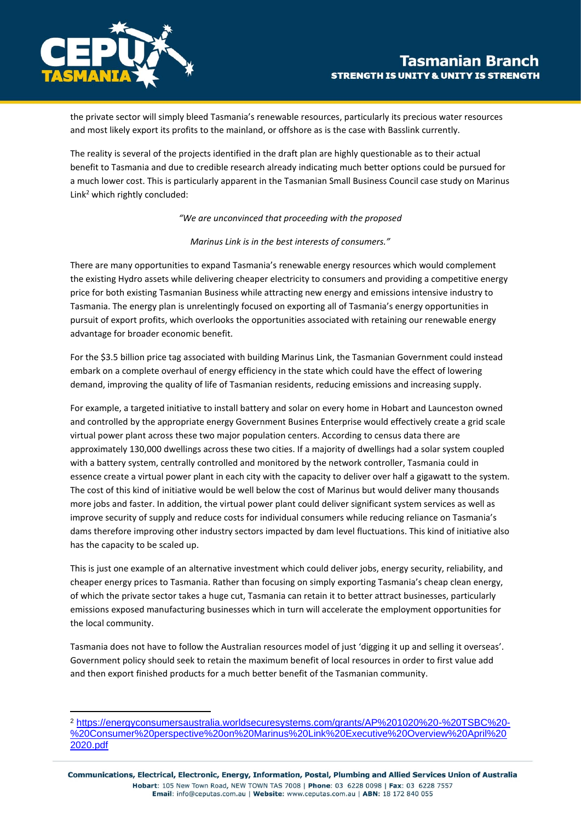

the private sector will simply bleed Tasmania's renewable resources, particularly its precious water resources and most likely export its profits to the mainland, or offshore as is the case with Basslink currently.

The reality is several of the projects identified in the draft plan are highly questionable as to their actual benefit to Tasmania and due to credible research already indicating much better options could be pursued for a much lower cost. This is particularly apparent in the Tasmanian Small Business Council case study on Marinus Link<sup>2</sup> which rightly concluded:

*"We are unconvinced that proceeding with the proposed* 

#### *Marinus Link is in the best interests of consumers."*

There are many opportunities to expand Tasmania's renewable energy resources which would complement the existing Hydro assets while delivering cheaper electricity to consumers and providing a competitive energy price for both existing Tasmanian Business while attracting new energy and emissions intensive industry to Tasmania. The energy plan is unrelentingly focused on exporting all of Tasmania's energy opportunities in pursuit of export profits, which overlooks the opportunities associated with retaining our renewable energy advantage for broader economic benefit.

For the \$3.5 billion price tag associated with building Marinus Link, the Tasmanian Government could instead embark on a complete overhaul of energy efficiency in the state which could have the effect of lowering demand, improving the quality of life of Tasmanian residents, reducing emissions and increasing supply.

For example, a targeted initiative to install battery and solar on every home in Hobart and Launceston owned and controlled by the appropriate energy Government Busines Enterprise would effectively create a grid scale virtual power plant across these two major population centers. According to census data there are approximately 130,000 dwellings across these two cities. If a majority of dwellings had a solar system coupled with a battery system, centrally controlled and monitored by the network controller, Tasmania could in essence create a virtual power plant in each city with the capacity to deliver over half a gigawatt to the system. The cost of this kind of initiative would be well below the cost of Marinus but would deliver many thousands more jobs and faster. In addition, the virtual power plant could deliver significant system services as well as improve security of supply and reduce costs for individual consumers while reducing reliance on Tasmania's dams therefore improving other industry sectors impacted by dam level fluctuations. This kind of initiative also has the capacity to be scaled up.

This is just one example of an alternative investment which could deliver jobs, energy security, reliability, and cheaper energy prices to Tasmania. Rather than focusing on simply exporting Tasmania's cheap clean energy, of which the private sector takes a huge cut, Tasmania can retain it to better attract businesses, particularly emissions exposed manufacturing businesses which in turn will accelerate the employment opportunities for the local community.

Tasmania does not have to follow the Australian resources model of just 'digging it up and selling it overseas'. Government policy should seek to retain the maximum benefit of local resources in order to first value add and then export finished products for a much better benefit of the Tasmanian community.

<sup>2</sup> [https://energyconsumersaustralia.worldsecuresystems.com/grants/AP%201020%20-%20TSBC%20-](https://energyconsumersaustralia.worldsecuresystems.com/grants/AP%201020%20-%20TSBC%20-%20Consumer%20perspective%20on%20Marinus%20Link%20Executive%20Overview%20April%202020.pdf) [%20Consumer%20perspective%20on%20Marinus%20Link%20Executive%20Overview%20April%20](https://energyconsumersaustralia.worldsecuresystems.com/grants/AP%201020%20-%20TSBC%20-%20Consumer%20perspective%20on%20Marinus%20Link%20Executive%20Overview%20April%202020.pdf) [2020.pdf](https://energyconsumersaustralia.worldsecuresystems.com/grants/AP%201020%20-%20TSBC%20-%20Consumer%20perspective%20on%20Marinus%20Link%20Executive%20Overview%20April%202020.pdf)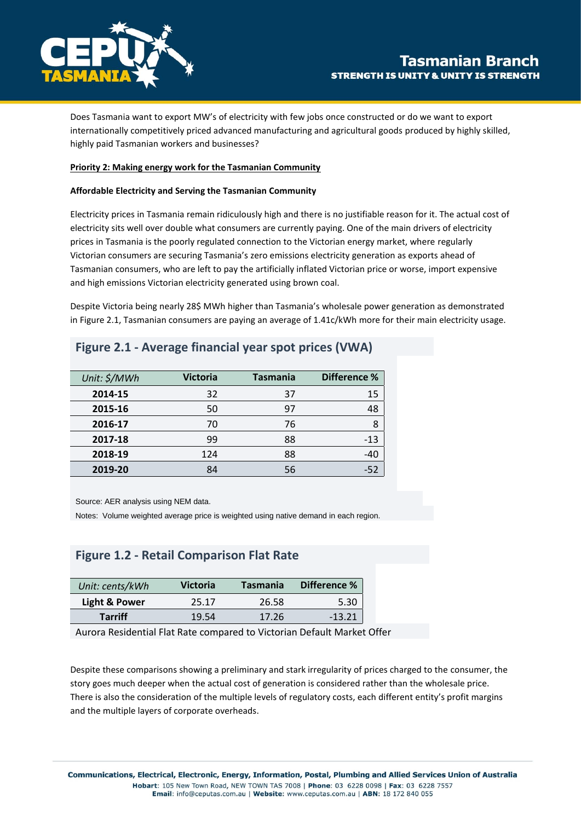

Does Tasmania want to export MW's of electricity with few jobs once constructed or do we want to export internationally competitively priced advanced manufacturing and agricultural goods produced by highly skilled, highly paid Tasmanian workers and businesses?

#### **Priority 2: Making energy work for the Tasmanian Community**

#### **Affordable Electricity and Serving the Tasmanian Community**

Electricity prices in Tasmania remain ridiculously high and there is no justifiable reason for it. The actual cost of electricity sits well over double what consumers are currently paying. One of the main drivers of electricity prices in Tasmania is the poorly regulated connection to the Victorian energy market, where regularly Victorian consumers are securing Tasmania's zero emissions electricity generation as exports ahead of Tasmanian consumers, who are left to pay the artificially inflated Victorian price or worse, import expensive and high emissions Victorian electricity generated using brown coal.

Despite Victoria being nearly 28\$ MWh higher than Tasmania's wholesale power generation as demonstrated in Figure 2.1, Tasmanian consumers are paying an average of 1.41c/kWh more for their main electricity usage.

| Unit: \$/MWh | <b>Victoria</b> | <b>Tasmania</b> | Difference % |
|--------------|-----------------|-----------------|--------------|
| 2014-15      | 32              | 37              | 15           |
| 2015-16      | 50              | 97              | 48           |
| 2016-17      | 70              | 76              | 8            |
| 2017-18      | 99              | 88              | -13          |
| 2018-19      | 124             | 88              | -40          |
| 2019-20      | 84              | 56              | -52          |

# **Figure 2.1 - Average financial year spot prices (VWA)**

Source: AER analysis using NEM data.

Notes: Volume weighted average price is weighted using native demand in each region.

# **Figure 1.2 - Retail Comparison Flat Rate**

| Unit: cents/kWh | <b>Victoria</b> | Tasmania | Difference % |
|-----------------|-----------------|----------|--------------|
| Light & Power   | 25.17           | 26.58    | 5.30         |
| <b>Tarriff</b>  | 19.54           | 17.26    | $-13.21$     |

Aurora Residential Flat Rate compared to Victorian Default Market Offer

Despite these comparisons showing a preliminary and stark irregularity of prices charged to the consumer, the story goes much deeper when the actual cost of generation is considered rather than the wholesale price. There is also the consideration of the multiple levels of regulatory costs, each different entity's profit margins and the multiple layers of corporate overheads.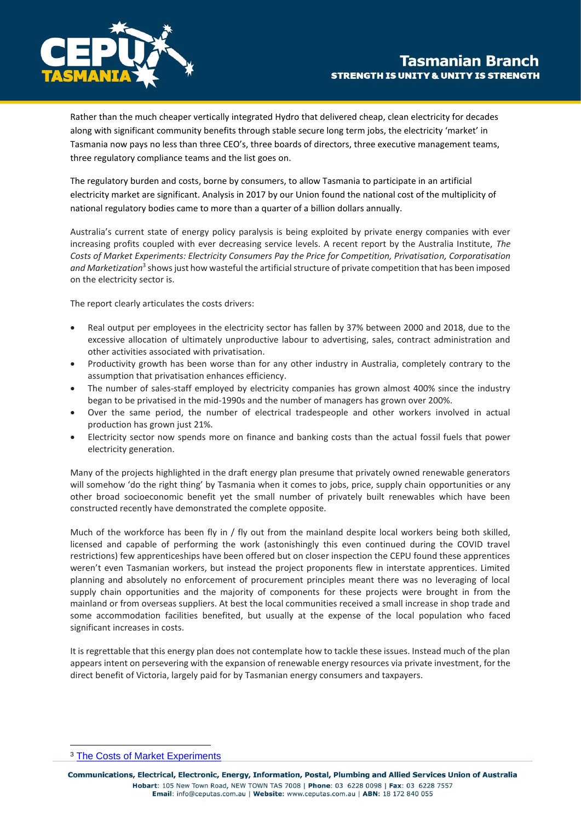

Rather than the much cheaper vertically integrated Hydro that delivered cheap, clean electricity for decades along with significant community benefits through stable secure long term jobs, the electricity 'market' in Tasmania now pays no less than three CEO's, three boards of directors, three executive management teams, three regulatory compliance teams and the list goes on.

The regulatory burden and costs, borne by consumers, to allow Tasmania to participate in an artificial electricity market are significant. Analysis in 2017 by our Union found the national cost of the multiplicity of national regulatory bodies came to more than a quarter of a billion dollars annually.

Australia's current state of energy policy paralysis is being exploited by private energy companies with ever increasing profits coupled with ever decreasing service levels. A recent report by the Australia Institute, *The Costs of Market Experiments: Electricity Consumers Pay the Price for Competition, Privatisation, Corporatisation*  and Marketization<sup>3</sup> shows just how wasteful the artificial structure of private competition that has been imposed on the electricity sector is.

The report clearly articulates the costs drivers:

- Real output per employees in the electricity sector has fallen by 37% between 2000 and 2018, due to the excessive allocation of ultimately unproductive labour to advertising, sales, contract administration and other activities associated with privatisation.
- Productivity growth has been worse than for any other industry in Australia, completely contrary to the assumption that privatisation enhances efficiency.
- The number of sales-staff employed by electricity companies has grown almost 400% since the industry began to be privatised in the mid-1990s and the number of managers has grown over 200%.
- Over the same period, the number of electrical tradespeople and other workers involved in actual production has grown just 21%.
- Electricity sector now spends more on finance and banking costs than the actual fossil fuels that power electricity generation.

Many of the projects highlighted in the draft energy plan presume that privately owned renewable generators will somehow 'do the right thing' by Tasmania when it comes to jobs, price, supply chain opportunities or any other broad socioeconomic benefit yet the small number of privately built renewables which have been constructed recently have demonstrated the complete opposite.

Much of the workforce has been fly in / fly out from the mainland despite local workers being both skilled, licensed and capable of performing the work (astonishingly this even continued during the COVID travel restrictions) few apprenticeships have been offered but on closer inspection the CEPU found these apprentices weren't even Tasmanian workers, but instead the project proponents flew in interstate apprentices. Limited planning and absolutely no enforcement of procurement principles meant there was no leveraging of local supply chain opportunities and the majority of components for these projects were brought in from the mainland or from overseas suppliers. At best the local communities received a small increase in shop trade and some accommodation facilities benefited, but usually at the expense of the local population who faced significant increases in costs.

It is regrettable that this energy plan does not contemplate how to tackle these issues. Instead much of the plan appears intent on persevering with the expansion of renewable energy resources via private investment, for the direct benefit of Victoria, largely paid for by Tasmanian energy consumers and taxpayers.

<sup>3</sup> [The Costs of Market Experiments](http://www.tai.org.au/sites/default/files/P470%20Electricty%20Consumers%20Pay%20the%20Price%20%5BWEB%5D.pdf)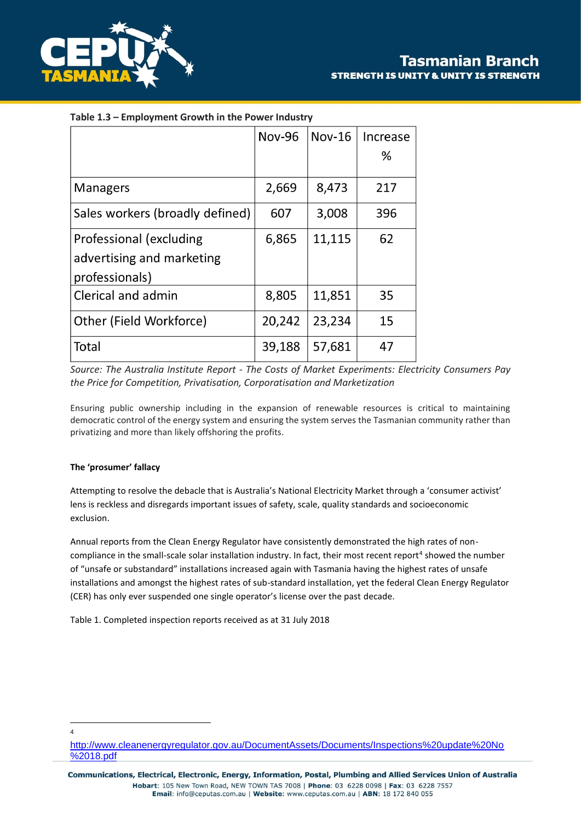

|                                 | <b>Nov-96</b> | $Nov-16$ | Increase |
|---------------------------------|---------------|----------|----------|
|                                 |               |          | %        |
| <b>Managers</b>                 | 2,669         | 8,473    | 217      |
| Sales workers (broadly defined) | 607           | 3,008    | 396      |
| Professional (excluding         | 6,865         | 11,115   | 62       |
| advertising and marketing       |               |          |          |
| professionals)                  |               |          |          |
| Clerical and admin              | 8,805         | 11,851   | 35       |
| Other (Field Workforce)         | 20,242        | 23,234   | 15       |
| Total                           | 39,188        | 57,681   | 47       |

## **Table 1.3 – Employment Growth in the Power Industry**

*Source: The Australia Institute Report - The Costs of Market Experiments: Electricity Consumers Pay the Price for Competition, Privatisation, Corporatisation and Marketization*

Ensuring public ownership including in the expansion of renewable resources is critical to maintaining democratic control of the energy system and ensuring the system serves the Tasmanian community rather than privatizing and more than likely offshoring the profits.

### **The 'prosumer' fallacy**

Attempting to resolve the debacle that is Australia's National Electricity Market through a 'consumer activist' lens is reckless and disregards important issues of safety, scale, quality standards and socioeconomic exclusion.

Annual reports from the Clean Energy Regulator have consistently demonstrated the high rates of noncompliance in the small-scale solar installation industry. In fact, their most recent report<sup>4</sup> showed the number of "unsafe or substandard" installations increased again with Tasmania having the highest rates of unsafe installations and amongst the highest rates of sub-standard installation, yet the federal Clean Energy Regulator (CER) has only ever suspended one single operator's license over the past decade.

Table 1. Completed inspection reports received as at 31 July 2018

4

[http://www.cleanenergyregulator.gov.au/DocumentAssets/Documents/Inspections%20update%20No](http://www.cleanenergyregulator.gov.au/DocumentAssets/Documents/Inspections%20update%20No%2018.pdf) [%2018.pdf](http://www.cleanenergyregulator.gov.au/DocumentAssets/Documents/Inspections%20update%20No%2018.pdf)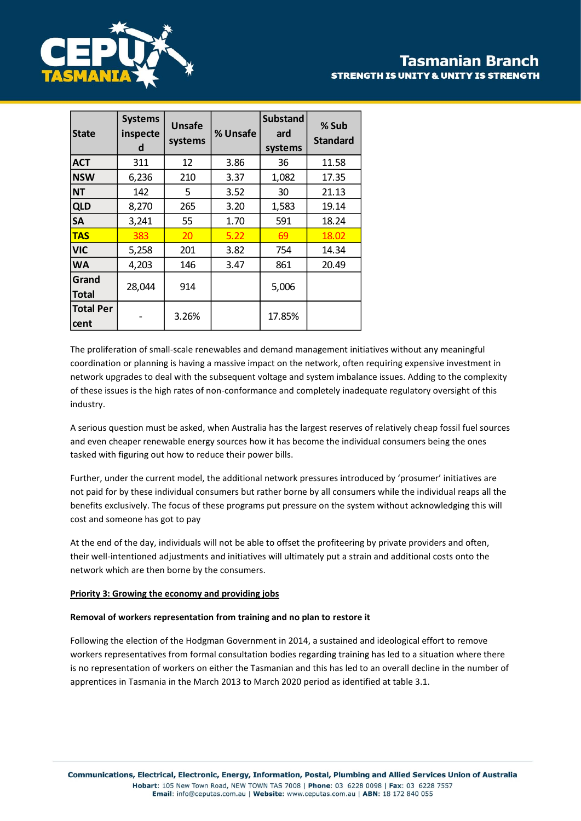

# **Tasmanian Branch STRENGTH IS UNITY & UNITY IS STRENGTH**

| <b>State</b>             | <b>Systems</b><br>inspecte<br>d | <b>Unsafe</b><br>systems | % Unsafe | <b>Substand</b><br>ard<br>systems | % Sub<br><b>Standard</b> |
|--------------------------|---------------------------------|--------------------------|----------|-----------------------------------|--------------------------|
| <b>ACT</b>               | 311                             | 12                       | 3.86     | 36                                | 11.58                    |
| <b>NSW</b>               | 6,236                           | 210                      | 3.37     | 1,082                             | 17.35                    |
| <b>NT</b>                | 142                             | 5                        | 3.52     | 30                                | 21.13                    |
| <b>QLD</b>               | 8,270                           | 265                      | 3.20     | 1,583                             | 19.14                    |
| <b>SA</b>                | 3,241                           | 55                       | 1.70     | 591                               | 18.24                    |
| <b>TAS</b>               | 383                             | 20                       | 5.22     | 69                                | 18.02                    |
| <b>VIC</b>               | 5,258                           | 201                      | 3.82     | 754                               | 14.34                    |
| <b>WA</b>                | 4,203                           | 146                      | 3.47     | 861                               | 20.49                    |
| Grand<br><b>Total</b>    | 28,044                          | 914                      |          | 5,006                             |                          |
| <b>Total Per</b><br>cent |                                 | 3.26%                    |          | 17.85%                            |                          |

The proliferation of small-scale renewables and demand management initiatives without any meaningful coordination or planning is having a massive impact on the network, often requiring expensive investment in network upgrades to deal with the subsequent voltage and system imbalance issues. Adding to the complexity of these issues is the high rates of non-conformance and completely inadequate regulatory oversight of this industry.

A serious question must be asked, when Australia has the largest reserves of relatively cheap fossil fuel sources and even cheaper renewable energy sources how it has become the individual consumers being the ones tasked with figuring out how to reduce their power bills.

Further, under the current model, the additional network pressures introduced by 'prosumer' initiatives are not paid for by these individual consumers but rather borne by all consumers while the individual reaps all the benefits exclusively. The focus of these programs put pressure on the system without acknowledging this will cost and someone has got to pay

At the end of the day, individuals will not be able to offset the profiteering by private providers and often, their well-intentioned adjustments and initiatives will ultimately put a strain and additional costs onto the network which are then borne by the consumers.

### **Priority 3: Growing the economy and providing jobs**

### **Removal of workers representation from training and no plan to restore it**

Following the election of the Hodgman Government in 2014, a sustained and ideological effort to remove workers representatives from formal consultation bodies regarding training has led to a situation where there is no representation of workers on either the Tasmanian and this has led to an overall decline in the number of apprentices in Tasmania in the March 2013 to March 2020 period as identified at table 3.1.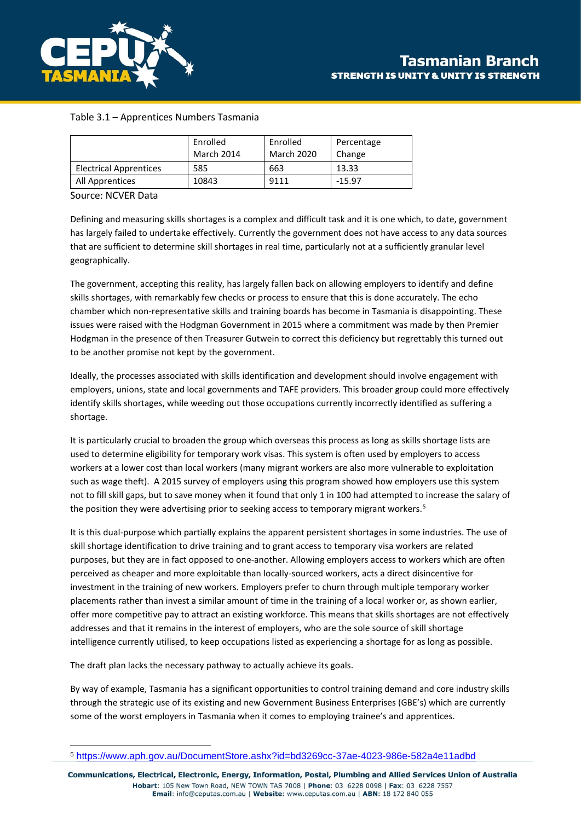

## Table 3.1 – Apprentices Numbers Tasmania

|                               | Enrolled<br>March 2014 | Enrolled<br>March 2020 | Percentage<br>Change |
|-------------------------------|------------------------|------------------------|----------------------|
| <b>Electrical Apprentices</b> | 585                    | 663                    | 13.33                |
| All Apprentices               | 10843                  | 9111                   | $-15.97$             |

#### Source: NCVER Data

Defining and measuring skills shortages is a complex and difficult task and it is one which, to date, government has largely failed to undertake effectively. Currently the government does not have access to any data sources that are sufficient to determine skill shortages in real time, particularly not at a sufficiently granular level geographically.

The government, accepting this reality, has largely fallen back on allowing employers to identify and define skills shortages, with remarkably few checks or process to ensure that this is done accurately. The echo chamber which non-representative skills and training boards has become in Tasmania is disappointing. These issues were raised with the Hodgman Government in 2015 where a commitment was made by then Premier Hodgman in the presence of then Treasurer Gutwein to correct this deficiency but regrettably this turned out to be another promise not kept by the government.

Ideally, the processes associated with skills identification and development should involve engagement with employers, unions, state and local governments and TAFE providers. This broader group could more effectively identify skills shortages, while weeding out those occupations currently incorrectly identified as suffering a shortage.

It is particularly crucial to broaden the group which overseas this process as long as skills shortage lists are used to determine eligibility for temporary work visas. This system is often used by employers to access workers at a lower cost than local workers (many migrant workers are also more vulnerable to exploitation such as wage theft). A 2015 survey of employers using this program showed how employers use this system not to fill skill gaps, but to save money when it found that only 1 in 100 had attempted to increase the salary of the position they were advertising prior to seeking access to temporary migrant workers.<sup>5</sup>

It is this dual-purpose which partially explains the apparent persistent shortages in some industries. The use of skill shortage identification to drive training and to grant access to temporary visa workers are related purposes, but they are in fact opposed to one-another. Allowing employers access to workers which are often perceived as cheaper and more exploitable than locally-sourced workers, acts a direct disincentive for investment in the training of new workers. Employers prefer to churn through multiple temporary worker placements rather than invest a similar amount of time in the training of a local worker or, as shown earlier, offer more competitive pay to attract an existing workforce. This means that skills shortages are not effectively addresses and that it remains in the interest of employers, who are the sole source of skill shortage intelligence currently utilised, to keep occupations listed as experiencing a shortage for as long as possible.

The draft plan lacks the necessary pathway to actually achieve its goals.

By way of example, Tasmania has a significant opportunities to control training demand and core industry skills through the strategic use of its existing and new Government Business Enterprises (GBE's) which are currently some of the worst employers in Tasmania when it comes to employing trainee's and apprentices.

<sup>5</sup> <https://www.aph.gov.au/DocumentStore.ashx?id=bd3269cc-37ae-4023-986e-582a4e11adbd>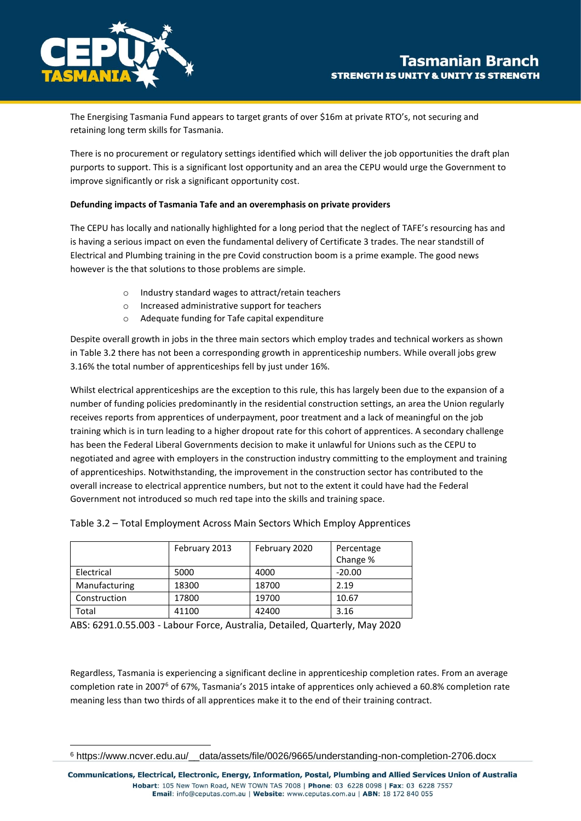

The Energising Tasmania Fund appears to target grants of over \$16m at private RTO's, not securing and retaining long term skills for Tasmania.

There is no procurement or regulatory settings identified which will deliver the job opportunities the draft plan purports to support. This is a significant lost opportunity and an area the CEPU would urge the Government to improve significantly or risk a significant opportunity cost.

### **Defunding impacts of Tasmania Tafe and an overemphasis on private providers**

The CEPU has locally and nationally highlighted for a long period that the neglect of TAFE's resourcing has and is having a serious impact on even the fundamental delivery of Certificate 3 trades. The near standstill of Electrical and Plumbing training in the pre Covid construction boom is a prime example. The good news however is the that solutions to those problems are simple.

- o Industry standard wages to attract/retain teachers
- o Increased administrative support for teachers
- o Adequate funding for Tafe capital expenditure

Despite overall growth in jobs in the three main sectors which employ trades and technical workers as shown in Table 3.2 there has not been a corresponding growth in apprenticeship numbers. While overall jobs grew 3.16% the total number of apprenticeships fell by just under 16%.

Whilst electrical apprenticeships are the exception to this rule, this has largely been due to the expansion of a number of funding policies predominantly in the residential construction settings, an area the Union regularly receives reports from apprentices of underpayment, poor treatment and a lack of meaningful on the job training which is in turn leading to a higher dropout rate for this cohort of apprentices. A secondary challenge has been the Federal Liberal Governments decision to make it unlawful for Unions such as the CEPU to negotiated and agree with employers in the construction industry committing to the employment and training of apprenticeships. Notwithstanding, the improvement in the construction sector has contributed to the overall increase to electrical apprentice numbers, but not to the extent it could have had the Federal Government not introduced so much red tape into the skills and training space.

|               | February 2013 | February 2020 | Percentage<br>Change % |
|---------------|---------------|---------------|------------------------|
| Electrical    | 5000          | 4000          | $-20.00$               |
| Manufacturing | 18300         | 18700         | 2.19                   |
| Construction  | 17800         | 19700         | 10.67                  |
| Total         | 41100         | 42400         | 3.16                   |

|  |  |  | Table 3.2 – Total Employment Across Main Sectors Which Employ Apprentices |
|--|--|--|---------------------------------------------------------------------------|
|--|--|--|---------------------------------------------------------------------------|

ABS: 6291.0.55.003 - Labour Force, Australia, Detailed, Quarterly, May 2020

Regardless, Tasmania is experiencing a significant decline in apprenticeship completion rates. From an average completion rate in 2007<sup>6</sup> of 67%, Tasmania's 2015 intake of apprentices only achieved a 60.8% completion rate meaning less than two thirds of all apprentices make it to the end of their training contract.

<sup>6</sup> https://www.ncver.edu.au/\_\_data/assets/file/0026/9665/understanding-non-completion-2706.docx